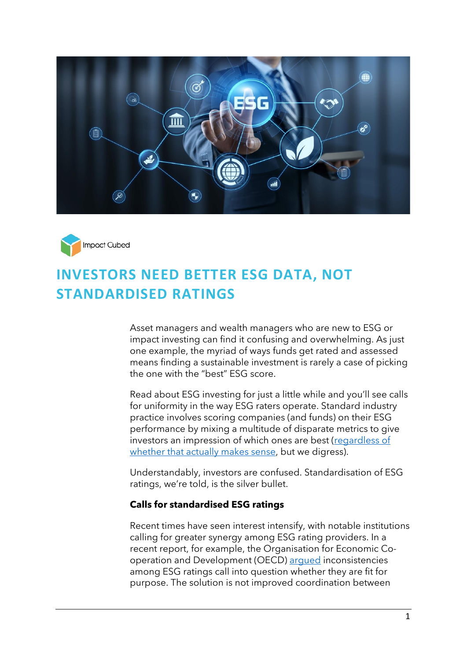



# **INVESTORS NEED BETTER ESG DATA, NOT STANDARDISED RATINGS**

Asset managers and wealth managers who are new to ESG or impact investing can find it confusing and overwhelming. As just one example, the myriad of ways funds get rated and assessed means finding a sustainable investment is rarely a case of picking the one with the "best" ESG score.

Read about ESG investing for just a little while and you'll see calls for uniformity in the way ESG raters operate. Standard industry practice involves scoring companies (and funds) on their ESG performance by mixing a multitude of disparate metrics to give investors an impression of which ones are best (regardless of [whether that actually makes sense,](https://www.impact-cubed.com/publication?file=ESG_Would%20you%20mix%20red%20and%20white%20wine%20in%20a%20glass_Impact%20Cubed_11May%202021.pdf) but we digress).

Understandably, investors are confused. Standardisation of ESG ratings, we're told, is the silver bullet.

#### **Calls for standardised ESG ratings**

Recent times have seen interest intensify, with notable institutions calling for greater synergy among ESG rating providers. In a recent report, for example, the Organisation for Economic Cooperation and Development (OECD) [argued](https://app.curationcorp.com/story/FD8D7209-30B2-49CE-8207-4C664C83DCE9?utm_medium=email&_hsmi=202228887&_hsenc=p2ANqtz-9HhMjE9MTtzUMlJ1hNFcBUgYK8lS6PT4AXmv5sB2rJFOA8gPN5ps2OpbquyHKGlbeDKbwDt4aDnDKw3YY_-0p-y9qDWrI420wWpTMWIAEvbLzn7wo&utm_content=202228887&utm_source=hs_email) inconsistencies among ESG ratings call into question whether they are fit for purpose. The solution is not improved coordination between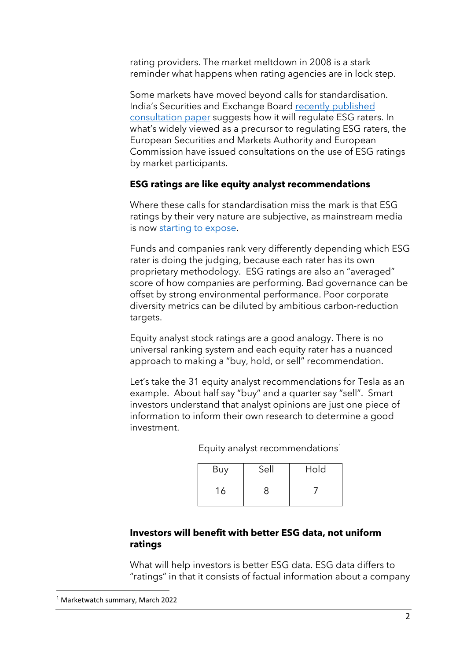rating providers. The market meltdown in 2008 is a stark reminder what happens when rating agencies are in lock step.

Some markets have moved beyond calls for standardisation. India's Securities and Exchange Board [recently published](https://qz.com/india/2126190/indias-market-regulator-is-looking-to-standardise-green-rating-agencies/)  [consultation paper](https://qz.com/india/2126190/indias-market-regulator-is-looking-to-standardise-green-rating-agencies/) suggests how it will regulate ESG raters. In what's widely viewed as a precursor to regulating ESG raters, the European Securities and Markets Authority and European Commission have issued consultations on the use of ESG ratings by market participants.

## **ESG ratings are like equity analyst recommendations**

Where these calls for standardisation miss the mark is that ESG ratings by their very nature are subjective, as mainstream media is now [starting to expose.](https://www.bloomberg.com/graphics/2021-what-is-esg-investing-msci-ratings-focus-on-corporate-bottom-line/)

Funds and companies rank very differently depending which ESG rater is doing the judging, because each rater has its own proprietary methodology. ESG ratings are also an "averaged" score of how companies are performing. Bad governance can be offset by strong environmental performance. Poor corporate diversity metrics can be diluted by ambitious carbon-reduction targets.

Equity analyst stock ratings are a good analogy. There is no universal ranking system and each equity rater has a nuanced approach to making a "buy, hold, or sell" recommendation.

Let's take the 31 equity analyst recommendations for Tesla as an example. About half say "buy" and a quarter say "sell". Smart investors understand that analyst opinions are just one piece of information to inform their own research to determine a good investment.

| Buy | Sell | Hold |
|-----|------|------|
| 16  |      |      |

Equity analyst recommendations<sup>1</sup>

## **Investors will benefit with better ESG data, not uniform ratings**

What will help investors is better ESG data. ESG data differs to "ratings" in that it consists of factual information about a company

<sup>1</sup> Marketwatch summary, March 2022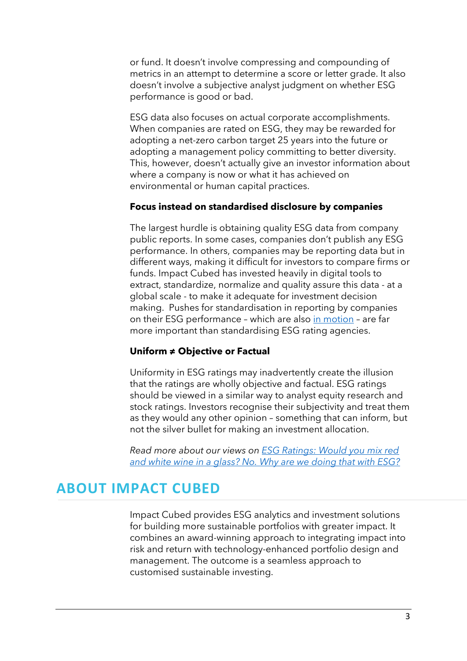or fund. It doesn't involve compressing and compounding of metrics in an attempt to determine a score or letter grade. It also doesn't involve a subjective analyst judgment on whether ESG performance is good or bad.

ESG data also focuses on actual corporate accomplishments. When companies are rated on ESG, they may be rewarded for adopting a net-zero carbon target 25 years into the future or adopting a management policy committing to better diversity. This, however, doesn't actually give an investor information about where a company is now or what it has achieved on environmental or human capital practices.

#### **Focus instead on standardised disclosure by companies**

The largest hurdle is obtaining quality ESG data from company public reports. In some cases, companies don't publish any ESG performance. In others, companies may be reporting data but in different ways, making it difficult for investors to compare firms or funds. Impact Cubed has invested heavily in digital tools to extract, standardize, normalize and quality assure this data - at a global scale - to make it adequate for investment decision making. Pushes for standardisation in reporting by companies on their ESG performance – which are also [in motion](http://app.curationcorp.com/story/7C98DF6F-671C-4EA4-A141-608A9BB51700) – are far more important than standardising ESG rating agencies.

#### **Uniform ≠ Objective or Factual**

Uniformity in ESG ratings may inadvertently create the illusion that the ratings are wholly objective and factual. ESG ratings should be viewed in a similar way to analyst equity research and stock ratings. Investors recognise their subjectivity and treat them as they would any other opinion – something that can inform, but not the silver bullet for making an investment allocation.

*Read more about our views on [ESG Ratings: Would you mix red](https://www.impact-cubed.com/publication?file=ESG_Would%20you%20mix%20red%20and%20white%20wine%20in%20a%20glass_Impact%20Cubed_11May%202021.pdf)  [and white wine in a glass? No. Why are we doing that with ESG?](https://www.impact-cubed.com/publication?file=ESG_Would%20you%20mix%20red%20and%20white%20wine%20in%20a%20glass_Impact%20Cubed_11May%202021.pdf)*

# **ABOUT IMPACT CUBED**

Impact Cubed provides ESG analytics and investment solutions for building more sustainable portfolios with greater impact. It combines an award-winning approach to integrating impact into risk and return with technology-enhanced portfolio design and management. The outcome is a seamless approach to customised sustainable investing.